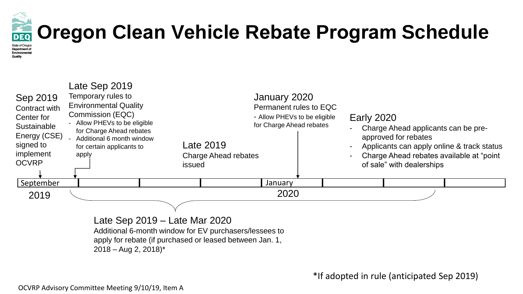

## **Oregon Clean Vehicle Rebate Program Schedule**

**State of Oregor** Department of Environmenta Quality



Late Sep 2019 – Late Mar 2020 Additional 6-month window for EV purchasers/lessees to apply for rebate (if purchased or leased between Jan. 1,  $2018 - Aug 2, 2018$ <sup>\*</sup>

\*If adopted in rule (anticipated Sep 2019)

OCVRP Advisory Committee Meeting 9/10/19, Item A